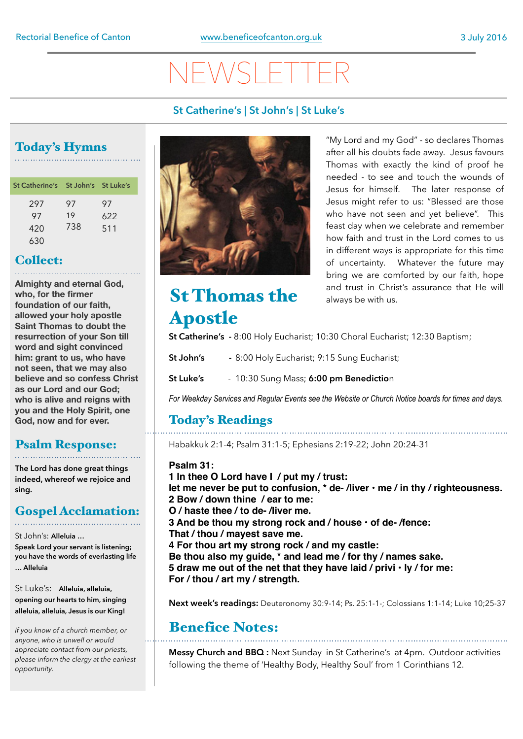# $\bigvee$   $\bigvee$

#### **St Catherine's | St John's | St Luke's**

## Today's Hymns

| St Catherine's St John's St Luke's |          |           |
|------------------------------------|----------|-----------|
| 297<br>97                          | 97<br>19 | 97<br>622 |
| 420                                | 738      | 511       |
| 630                                |          |           |

#### Collect:

**Almighty and eternal God, who, for the firmer foundation of our faith, allowed your holy apostle Saint Thomas to doubt the resurrection of your Son till word and sight convinced him: grant to us, who have not seen, that we may also believe and so confess Christ as our Lord and our God; who is alive and reigns with you and the Holy Spirit, one God, now and for ever.**

#### Psalm Response:

**The Lord has done great things indeed, whereof we rejoice and sing.** 

## Gospel Acclamation:

St John's: **Alleluia …** 

**Speak Lord your servant is listening; you have the words of everlasting life … Alleluia** 

St Luke's: **Alleluia, alleluia, opening our hearts to him, singing alleluia, alleluia, Jesus is our King!**

*If you know of a church member, or anyone, who is unwell or would appreciate contact from our priests, please inform the clergy at the earliest opportunity.* 



"My Lord and my God" - so declares Thomas after all his doubts fade away. Jesus favours Thomas with exactly the kind of proof he needed - to see and touch the wounds of Jesus for himself. The later response of Jesus might refer to us: "Blessed are those who have not seen and yet believe". This feast day when we celebrate and remember how faith and trust in the Lord comes to us in different ways is appropriate for this time of uncertainty. Whatever the future may bring we are comforted by our faith, hope and trust in Christ's assurance that He will always be with us.

## St Thomas the Apostle

**St Catherine's -** 8:00 Holy Eucharist; 10:30 Choral Eucharist; 12:30 Baptism;

**St John's -** 8:00 Holy Eucharist; 9:15 Sung Eucharist;

**St Luke's** - 10:30 Sung Mass; **6:00 pm Benedictio**n

*For Weekday Services and Regular Events see the Website or Church Notice boards for times and days.* 

### Today's Readings

Habakkuk 2:1-4; Psalm 31:1-5; Ephesians 2:19-22; John 20:24-31

**Psalm 31: 1 In thee O Lord have I / put my / trust: let me never be put to confusion, \* de- /liver • me / in thy / righteousness. 2 Bow / down thine / ear to me: O / haste thee / to de- /liver me. 3 And be thou my strong rock and / house • of de- /fence: That / thou / mayest save me. 4 For thou art my strong rock / and my castle: Be thou also my guide, \* and lead me / for thy / names sake. 5 draw me out of the net that they have laid / privi • ly / for me: For / thou / art my / strength.**

**Next week's readings:** Deuteronomy 30:9-14; Ps. 25:1-1-; Colossians 1:1-14; Luke 10;25-37

## Benefice Notes:

**Messy Church and BBQ :** Next Sunday in St Catherine's at 4pm. Outdoor activities following the theme of 'Healthy Body, Healthy Soul' from 1 Corinthians 12.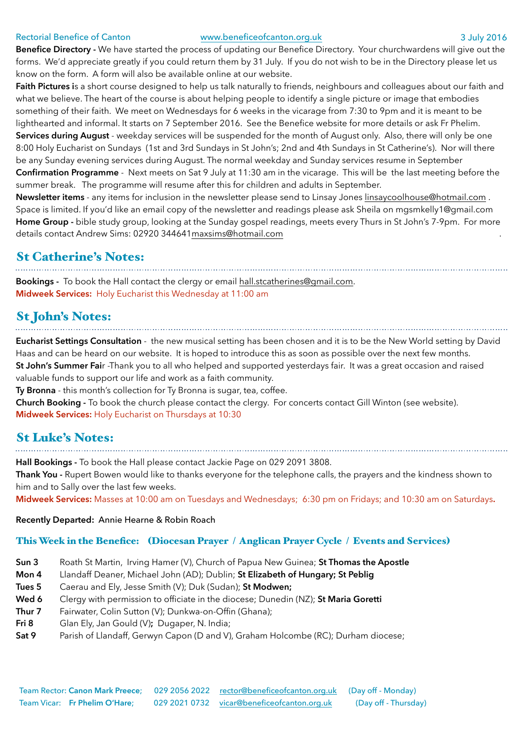#### Rectorial Benefice of Canton [www.beneficeofcanton.org.uk](http://www.beneficeofcanton.org.uk) 3 July 2016

**Benefice Directory -** We have started the process of updating our Benefice Directory. Your churchwardens will give out the forms. We'd appreciate greatly if you could return them by 31 July. If you do not wish to be in the Directory please let us know on the form. A form will also be available online at our website.

**Faith Pictures i**s a short course designed to help us talk naturally to friends, neighbours and colleagues about our faith and what we believe. The heart of the course is about helping people to identify a single picture or image that embodies something of their faith. We meet on Wednesdays for 6 weeks in the vicarage from 7:30 to 9pm and it is meant to be lighthearted and informal. It starts on 7 September 2016. See the Benefice website for more details or ask Fr Phelim. **Services during August** - weekday services will be suspended for the month of August only. Also, there will only be one 8:00 Holy Eucharist on Sundays (1st and 3rd Sundays in St John's; 2nd and 4th Sundays in St Catherine's). Nor will there be any Sunday evening services during August. The normal weekday and Sunday services resume in September **Confirmation Programme** - Next meets on Sat 9 July at 11:30 am in the vicarage. This will be the last meeting before the summer break. The programme will resume after this for children and adults in September.

**Newsletter items** - any items for inclusion in the newsletter please send to Linsay Jones [linsaycoolhouse@hotmail.com](mailto:linsaycoolhouse@hotmail.com) . Space is limited. If you'd like an email copy of the newsletter and readings please ask Sheila on [mgsmkelly1@gmail.com](mailto:mgsmkelly1@gmail.com)  **Home Group -** bible study group, looking at the Sunday gospel readings, meets every Thurs in St John's 7-9pm. For more details contact Andrew Sims: 02920 344641 [maxsims@hotmail.com](mailto:maxsims@hotmail.com) .

#### St Catherine's Notes:

**Bookings -** To book the Hall contact the clergy or email [hall.stcatherines@gmail.com.](mailto:hall.stcatherines@gmail.com) **Midweek Services:** Holy Eucharist this Wednesday at 11:00 am

### St John's Notes:

**Eucharist Settings Consultation** - the new musical setting has been chosen and it is to be the New World setting by David Haas and can be heard on our website. It is hoped to introduce this as soon as possible over the next few months. **St John's Summer Fai**r -Thank you to all who helped and supported yesterdays fair. It was a great occasion and raised valuable funds to support our life and work as a faith community.

**Ty Bronna** - this month's collection for Ty Bronna is sugar, tea, coffee.

**Church Booking -** To book the church please contact the clergy. For concerts contact Gill Winton (see website). **Midweek Services:** Holy Eucharist on Thursdays at 10:30

## St Luke's Notes:

**Hall Bookings -** To book the Hall please contact Jackie Page on 029 2091 3808.

**Thank You -** Rupert Bowen would like to thanks everyone for the telephone calls, the prayers and the kindness shown to him and to Sally over the last few weeks.

**Midweek Services:** Masses at 10:00 am on Tuesdays and Wednesdays; 6:30 pm on Fridays; and 10:30 am on Saturdays**.**

#### **Recently Departed:** Annie Hearne & Robin Roach

#### This Week in the Benefice: (Diocesan Prayer / Anglican Prayer Cycle / Events and Services)

- **Sun 3** Roath St Martin, Irving Hamer (V), Church of Papua New Guinea; **St Thomas the Apostle**
- **Mon 4** Llandaff Deaner, Michael John (AD); Dublin; **St Elizabeth of Hungary; St Peblig**
- **Tues 5** Caerau and Ely, Jesse Smith (V); Duk (Sudan); **St Modwen;**
- **Wed 6** Clergy with permission to officiate in the diocese; Dunedin (NZ); **St Maria Goretti**
- **Thur 7** Fairwater, Colin Sutton (V); Dunkwa-on-Offin (Ghana);
- **Fri 8** Glan Ely, Jan Gould (V)**;** Dugaper, N. India;
- **Sat 9** Parish of Llandaff, Gerwyn Capon (D and V), Graham Holcombe (RC); Durham diocese;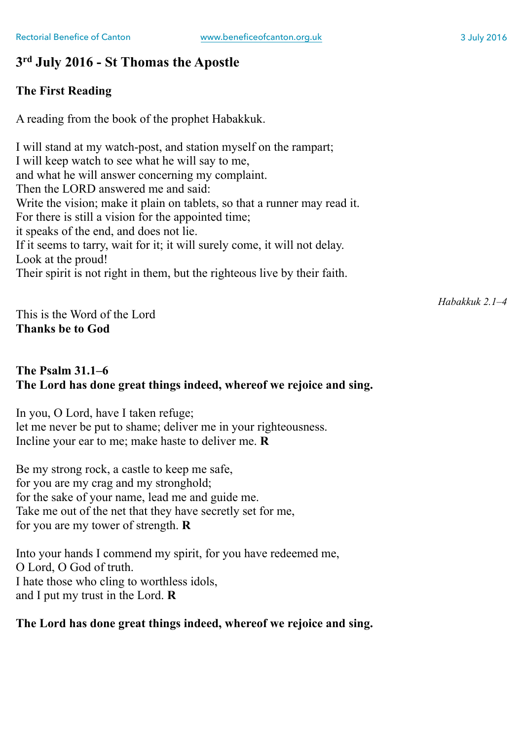### **3rd July 2016 - St Thomas the Apostle**

#### **The First Reading**

A reading from the book of the prophet Habakkuk.

I will stand at my watch-post, and station myself on the rampart; I will keep watch to see what he will say to me, and what he will answer concerning my complaint. Then the LORD answered me and said: Write the vision; make it plain on tablets, so that a runner may read it. For there is still a vision for the appointed time; it speaks of the end, and does not lie. If it seems to tarry, wait for it; it will surely come, it will not delay. Look at the proud! Their spirit is not right in them, but the righteous live by their faith.

*Habakkuk 2.1–4*

This is the Word of the Lord **Thanks be to God**

#### **The Psalm 31.1–6 The Lord has done great things indeed, whereof we rejoice and sing.**

In you, O Lord, have I taken refuge; let me never be put to shame; deliver me in your righteousness. Incline your ear to me; make haste to deliver me. **R**

Be my strong rock, a castle to keep me safe, for you are my crag and my stronghold; for the sake of your name, lead me and guide me. Take me out of the net that they have secretly set for me, for you are my tower of strength. **R**

Into your hands I commend my spirit, for you have redeemed me, O Lord, O God of truth. I hate those who cling to worthless idols, and I put my trust in the Lord. **R**

#### **The Lord has done great things indeed, whereof we rejoice and sing.**